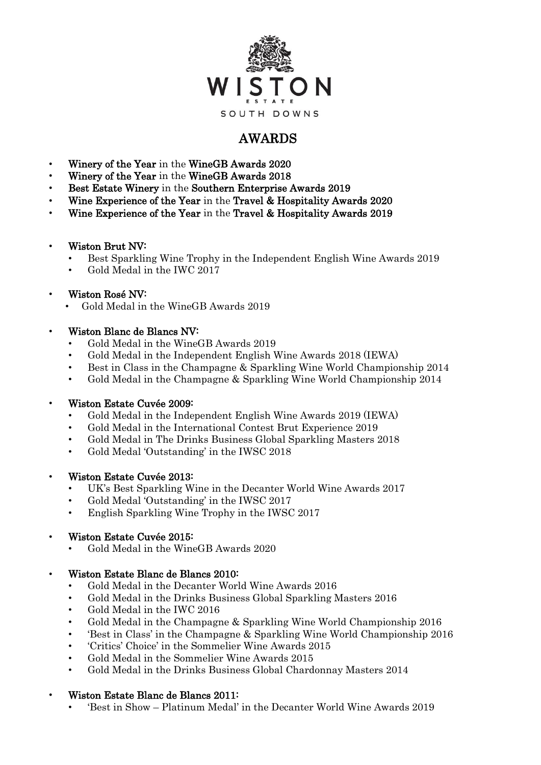

# AWARDS

- Winery of the Year in the WineGB Awards 2020
- Winery of the Year in the WineGB Awards 2018
- Best Estate Winery in the Southern Enterprise Awards 2019
- Wine Experience of the Year in the Travel & Hospitality Awards 2020
- Wine Experience of the Year in the Travel & Hospitality Awards 2019
- Wiston Brut NV:
	- Best Sparkling Wine Trophy in the Independent English Wine Awards 2019
	- Gold Medal in the IWC 2017

## • Wiston Rosé NV:

• Gold Medal in the WineGB Awards 2019

## • Wiston Blanc de Blancs NV:

- Gold Medal in the WineGB Awards 2019
- Gold Medal in the Independent English Wine Awards 2018 (IEWA)
- Best in Class in the Champagne & Sparkling Wine World Championship 2014
- Gold Medal in the Champagne & Sparkling Wine World Championship 2014

## • Wiston Estate Cuvée 2009:

- Gold Medal in the Independent English Wine Awards 2019 (IEWA)
- Gold Medal in the International Contest Brut Experience 2019
- Gold Medal in The Drinks Business Global Sparkling Masters 2018
- Gold Medal 'Outstanding' in the IWSC 2018
- Wiston Estate Cuvée 2013:
	- UK's Best Sparkling Wine in the Decanter World Wine Awards 2017
	- Gold Medal 'Outstanding' in the IWSC 2017
	- English Sparkling Wine Trophy in the IWSC 2017
- Wiston Estate Cuvée 2015:
	- Gold Medal in the WineGB Awards 2020

### • Wiston Estate Blanc de Blancs 2010:

- Gold Medal in the Decanter World Wine Awards 2016
- Gold Medal in the Drinks Business Global Sparkling Masters 2016
- Gold Medal in the IWC 2016
- Gold Medal in the Champagne & Sparkling Wine World Championship 2016
- 'Best in Class' in the Champagne & Sparkling Wine World Championship 2016
- 'Critics' Choice' in the Sommelier Wine Awards 2015
- Gold Medal in the Sommelier Wine Awards 2015
- Gold Medal in the Drinks Business Global Chardonnay Masters 2014

### • Wiston Estate Blanc de Blancs 2011:

• 'Best in Show – Platinum Medal' in the Decanter World Wine Awards 2019